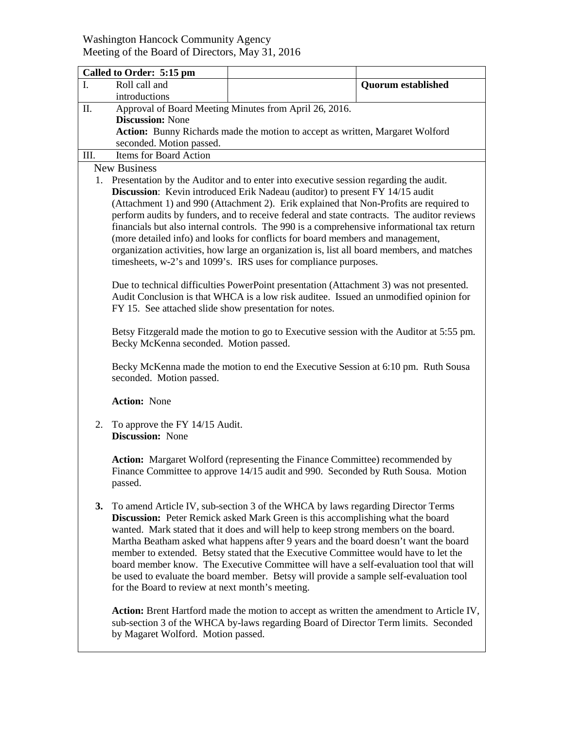## Washington Hancock Community Agency Meeting of the Board of Directors, May 31, 2016

|                     | Called to Order: 5:15 pm                                                                                                                                                        |                                                                                                                                                                          |                           |  |  |
|---------------------|---------------------------------------------------------------------------------------------------------------------------------------------------------------------------------|--------------------------------------------------------------------------------------------------------------------------------------------------------------------------|---------------------------|--|--|
| L.                  | Roll call and                                                                                                                                                                   |                                                                                                                                                                          | <b>Quorum established</b> |  |  |
|                     | introductions                                                                                                                                                                   |                                                                                                                                                                          |                           |  |  |
| II.                 | Approval of Board Meeting Minutes from April 26, 2016.                                                                                                                          |                                                                                                                                                                          |                           |  |  |
|                     | <b>Discussion: None</b>                                                                                                                                                         |                                                                                                                                                                          |                           |  |  |
|                     | <b>Action:</b> Bunny Richards made the motion to accept as written, Margaret Wolford                                                                                            |                                                                                                                                                                          |                           |  |  |
|                     | seconded. Motion passed.<br>Items for Board Action                                                                                                                              |                                                                                                                                                                          |                           |  |  |
| III.                |                                                                                                                                                                                 |                                                                                                                                                                          |                           |  |  |
| <b>New Business</b> |                                                                                                                                                                                 |                                                                                                                                                                          |                           |  |  |
|                     | 1. Presentation by the Auditor and to enter into executive session regarding the audit.<br><b>Discussion:</b> Kevin introduced Erik Nadeau (auditor) to present FY 14/15 audit  |                                                                                                                                                                          |                           |  |  |
|                     | (Attachment 1) and 990 (Attachment 2). Erik explained that Non-Profits are required to                                                                                          |                                                                                                                                                                          |                           |  |  |
|                     | perform audits by funders, and to receive federal and state contracts. The auditor reviews                                                                                      |                                                                                                                                                                          |                           |  |  |
|                     | financials but also internal controls. The 990 is a comprehensive informational tax return                                                                                      |                                                                                                                                                                          |                           |  |  |
|                     | (more detailed info) and looks for conflicts for board members and management,                                                                                                  |                                                                                                                                                                          |                           |  |  |
|                     | organization activities, how large an organization is, list all board members, and matches                                                                                      |                                                                                                                                                                          |                           |  |  |
|                     | timesheets, w-2's and 1099's. IRS uses for compliance purposes.                                                                                                                 |                                                                                                                                                                          |                           |  |  |
|                     |                                                                                                                                                                                 |                                                                                                                                                                          |                           |  |  |
|                     | Due to technical difficulties PowerPoint presentation (Attachment 3) was not presented.                                                                                         |                                                                                                                                                                          |                           |  |  |
|                     | Audit Conclusion is that WHCA is a low risk auditee. Issued an unmodified opinion for                                                                                           |                                                                                                                                                                          |                           |  |  |
|                     | FY 15. See attached slide show presentation for notes.                                                                                                                          |                                                                                                                                                                          |                           |  |  |
|                     |                                                                                                                                                                                 | Betsy Fitzgerald made the motion to go to Executive session with the Auditor at 5:55 pm.                                                                                 |                           |  |  |
|                     | Becky McKenna seconded. Motion passed.                                                                                                                                          |                                                                                                                                                                          |                           |  |  |
|                     |                                                                                                                                                                                 |                                                                                                                                                                          |                           |  |  |
|                     | Becky McKenna made the motion to end the Executive Session at 6:10 pm. Ruth Sousa                                                                                               |                                                                                                                                                                          |                           |  |  |
|                     | seconded. Motion passed.                                                                                                                                                        |                                                                                                                                                                          |                           |  |  |
|                     |                                                                                                                                                                                 |                                                                                                                                                                          |                           |  |  |
|                     | <b>Action: None</b>                                                                                                                                                             |                                                                                                                                                                          |                           |  |  |
| 2.                  | To approve the FY 14/15 Audit.                                                                                                                                                  |                                                                                                                                                                          |                           |  |  |
|                     | <b>Discussion:</b> None                                                                                                                                                         |                                                                                                                                                                          |                           |  |  |
|                     |                                                                                                                                                                                 |                                                                                                                                                                          |                           |  |  |
|                     | Action: Margaret Wolford (representing the Finance Committee) recommended by                                                                                                    |                                                                                                                                                                          |                           |  |  |
|                     |                                                                                                                                                                                 | Finance Committee to approve 14/15 audit and 990. Seconded by Ruth Sousa. Motion                                                                                         |                           |  |  |
|                     | passed.                                                                                                                                                                         |                                                                                                                                                                          |                           |  |  |
|                     |                                                                                                                                                                                 |                                                                                                                                                                          |                           |  |  |
| 3.                  |                                                                                                                                                                                 | To amend Article IV, sub-section 3 of the WHCA by laws regarding Director Terms<br><b>Discussion:</b> Peter Remick asked Mark Green is this accomplishing what the board |                           |  |  |
|                     |                                                                                                                                                                                 | wanted. Mark stated that it does and will help to keep strong members on the board.                                                                                      |                           |  |  |
|                     |                                                                                                                                                                                 | Martha Beatham asked what happens after 9 years and the board doesn't want the board                                                                                     |                           |  |  |
|                     |                                                                                                                                                                                 | member to extended. Betsy stated that the Executive Committee would have to let the                                                                                      |                           |  |  |
|                     |                                                                                                                                                                                 | board member know. The Executive Committee will have a self-evaluation tool that will                                                                                    |                           |  |  |
|                     |                                                                                                                                                                                 | be used to evaluate the board member. Betsy will provide a sample self-evaluation tool                                                                                   |                           |  |  |
|                     | for the Board to review at next month's meeting.                                                                                                                                |                                                                                                                                                                          |                           |  |  |
|                     |                                                                                                                                                                                 |                                                                                                                                                                          |                           |  |  |
|                     | Action: Brent Hartford made the motion to accept as written the amendment to Article IV,<br>sub-section 3 of the WHCA by-laws regarding Board of Director Term limits. Seconded |                                                                                                                                                                          |                           |  |  |
|                     | by Magaret Wolford. Motion passed.                                                                                                                                              |                                                                                                                                                                          |                           |  |  |
|                     |                                                                                                                                                                                 |                                                                                                                                                                          |                           |  |  |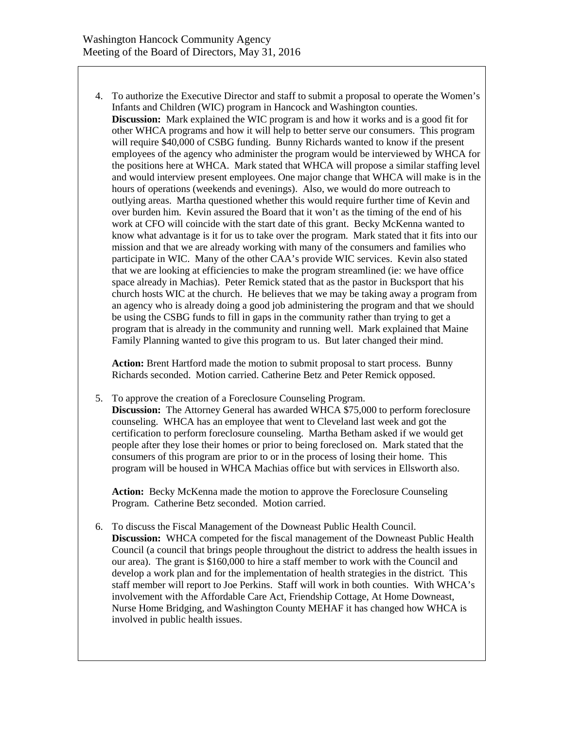4. To authorize the Executive Director and staff to submit a proposal to operate the Women's Infants and Children (WIC) program in Hancock and Washington counties. **Discussion:** Mark explained the WIC program is and how it works and is a good fit for other WHCA programs and how it will help to better serve our consumers. This program will require \$40,000 of CSBG funding. Bunny Richards wanted to know if the present employees of the agency who administer the program would be interviewed by WHCA for the positions here at WHCA. Mark stated that WHCA will propose a similar staffing level and would interview present employees. One major change that WHCA will make is in the hours of operations (weekends and evenings). Also, we would do more outreach to outlying areas. Martha questioned whether this would require further time of Kevin and over burden him. Kevin assured the Board that it won't as the timing of the end of his work at CFO will coincide with the start date of this grant. Becky McKenna wanted to know what advantage is it for us to take over the program. Mark stated that it fits into our mission and that we are already working with many of the consumers and families who participate in WIC. Many of the other CAA's provide WIC services. Kevin also stated that we are looking at efficiencies to make the program streamlined (ie: we have office space already in Machias). Peter Remick stated that as the pastor in Bucksport that his church hosts WIC at the church. He believes that we may be taking away a program from an agency who is already doing a good job administering the program and that we should be using the CSBG funds to fill in gaps in the community rather than trying to get a program that is already in the community and running well. Mark explained that Maine Family Planning wanted to give this program to us. But later changed their mind.

**Action:** Brent Hartford made the motion to submit proposal to start process. Bunny Richards seconded. Motion carried. Catherine Betz and Peter Remick opposed.

5. To approve the creation of a Foreclosure Counseling Program.

**Discussion:** The Attorney General has awarded WHCA \$75,000 to perform foreclosure counseling. WHCA has an employee that went to Cleveland last week and got the certification to perform foreclosure counseling. Martha Betham asked if we would get people after they lose their homes or prior to being foreclosed on. Mark stated that the consumers of this program are prior to or in the process of losing their home. This program will be housed in WHCA Machias office but with services in Ellsworth also.

**Action:** Becky McKenna made the motion to approve the Foreclosure Counseling Program. Catherine Betz seconded. Motion carried.

6. To discuss the Fiscal Management of the Downeast Public Health Council. **Discussion:** WHCA competed for the fiscal management of the Downeast Public Health Council (a council that brings people throughout the district to address the health issues in our area). The grant is \$160,000 to hire a staff member to work with the Council and develop a work plan and for the implementation of health strategies in the district. This staff member will report to Joe Perkins. Staff will work in both counties. With WHCA's involvement with the Affordable Care Act, Friendship Cottage, At Home Downeast, Nurse Home Bridging, and Washington County MEHAF it has changed how WHCA is involved in public health issues.